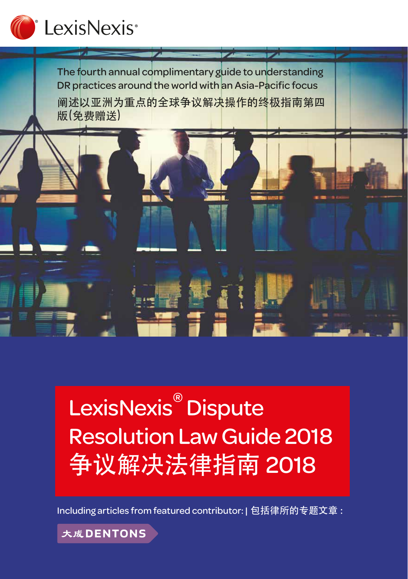

The fourth annual complimentary guide to understanding DR practices around the world with an Asia-Pacific focus 阐述以亚洲为重点的全球争议解决操作的终极指南第四 版(免费赠送)



# LexisNexis<sup>®</sup> Dispute Resolution Law Guide 2018 争议解决法律指南 2018

Including articles from featured contributor: | 包括律所的专题文章 :

大成DENTONS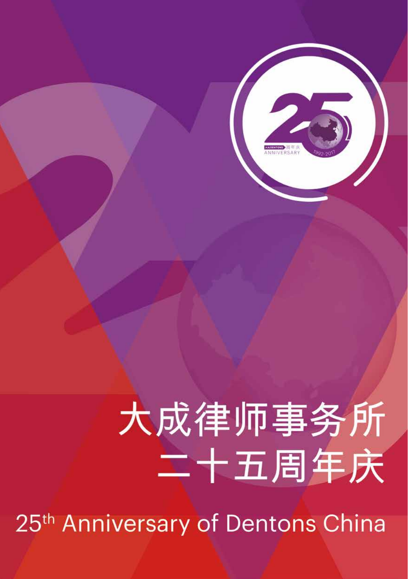# 大成律师事务所 二十五周年庆

25<sup>th</sup> Anniversary of Dentons China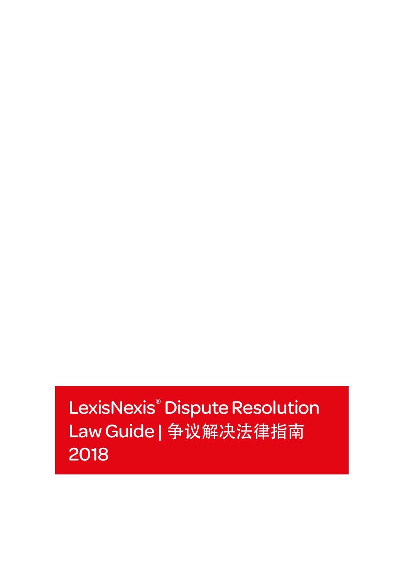LexisNexis® Dispute Resolution Law Guide | 争议解决法律指南 2018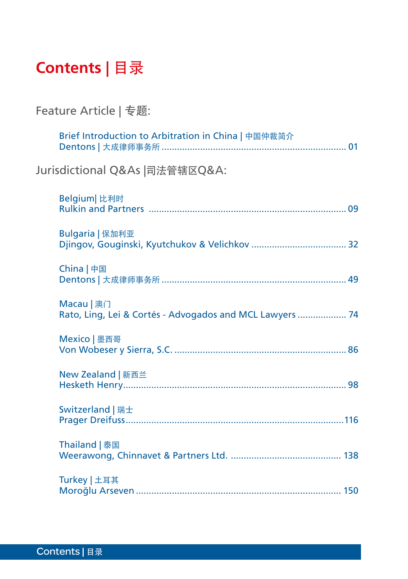# **Contents** | 目录

# Feature Article | 专题:

|                                | Brief Introduction to Arbitration in China   中国仲裁简介                    |  |
|--------------------------------|------------------------------------------------------------------------|--|
| Jurisdictional Q&As  司法管辖区Q&A: |                                                                        |  |
|                                | Belgium 比利时                                                            |  |
|                                | Bulgaria   保加利亚                                                        |  |
|                                | China   中国                                                             |  |
|                                | Macau   澳门<br>Rato, Ling, Lei & Cortés - Advogados and MCL Lawyers  74 |  |
|                                | Mexico   墨西哥                                                           |  |
|                                | New Zealand   新西兰                                                      |  |
|                                | Switzerland   瑞士                                                       |  |
|                                | Thailand   泰国                                                          |  |
|                                | Turkey   土耳其                                                           |  |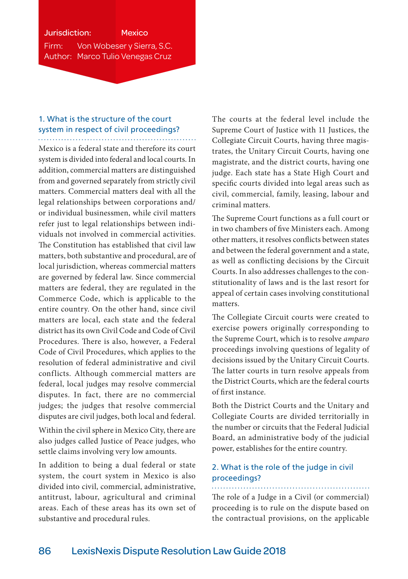# Jurisdiction: Mexico Firm: Von Wobeser y Sierra, S.C. Author: Marco Tulio Venegas Cruz

# 1. What is the structure of the court system in respect of civil proceedings?

Mexico is a federal state and therefore its court system is divided into federal and local courts. In addition, commercial matters are distinguished from and governed separately from strictly civil matters. Commercial matters deal with all the legal relationships between corporations and/ or individual businessmen, while civil matters refer just to legal relationships between individuals not involved in commercial activities. The Constitution has established that civil law matters, both substantive and procedural, are of local jurisdiction, whereas commercial matters are governed by federal law. Since commercial matters are federal, they are regulated in the Commerce Code, which is applicable to the entire country. On the other hand, since civil matters are local, each state and the federal district has its own Civil Code and Code of Civil Procedures. There is also, however, a Federal Code of Civil Procedures, which applies to the resolution of federal administrative and civil conflicts. Although commercial matters are federal, local judges may resolve commercial disputes. In fact, there are no commercial judges; the judges that resolve commercial disputes are civil judges, both local and federal.

Within the civil sphere in Mexico City, there are also judges called Justice of Peace judges, who settle claims involving very low amounts.

In addition to being a dual federal or state system, the court system in Mexico is also divided into civil, commercial, administrative, antitrust, labour, agricultural and criminal areas. Each of these areas has its own set of substantive and procedural rules.

The courts at the federal level include the Supreme Court of Justice with 11 Justices, the Collegiate Circuit Courts, having three magistrates, the Unitary Circuit Courts, having one magistrate, and the district courts, having one judge. Each state has a State High Court and specific courts divided into legal areas such as civil, commercial, family, leasing, labour and criminal matters.

The Supreme Court functions as a full court or in two chambers of five Ministers each. Among other matters, it resolves conflicts between states and between the federal government and a state, as well as conflicting decisions by the Circuit Courts. In also addresses challenges to the constitutionality of laws and is the last resort for appeal of certain cases involving constitutional matters.

The Collegiate Circuit courts were created to exercise powers originally corresponding to the Supreme Court, which is to resolve *amparo* proceedings involving questions of legality of decisions issued by the Unitary Circuit Courts. The latter courts in turn resolve appeals from the District Courts, which are the federal courts of first instance.

Both the District Courts and the Unitary and Collegiate Courts are divided territorially in the number or circuits that the Federal Judicial Board, an administrative body of the judicial power, establishes for the entire country.

# 2. What is the role of the judge in civil proceedings?

The role of a Judge in a Civil (or commercial) proceeding is to rule on the dispute based on the contractual provisions, on the applicable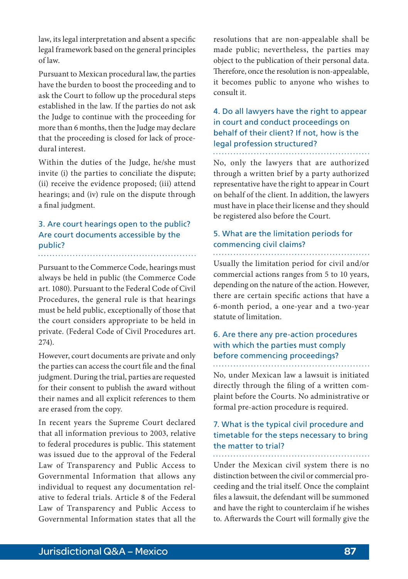law, its legal interpretation and absent a specific legal framework based on the general principles of law.

Pursuant to Mexican procedural law, the parties have the burden to boost the proceeding and to ask the Court to follow up the procedural steps established in the law. If the parties do not ask the Judge to continue with the proceeding for more than 6 months, then the Judge may declare that the proceeding is closed for lack of procedural interest.

Within the duties of the Judge, he/she must invite (i) the parties to conciliate the dispute; (ii) receive the evidence proposed; (iii) attend hearings; and (iv) rule on the dispute through a final judgment.

# 3. Are court hearings open to the public? Are court documents accessible by the public?

Pursuant to the Commerce Code, hearings must always be held in public (the Commerce Code art. 1080). Pursuant to the Federal Code of Civil Procedures, the general rule is that hearings must be held public, exceptionally of those that the court considers appropriate to be held in private. (Federal Code of Civil Procedures art. 274).

However, court documents are private and only the parties can access the court file and the final judgment. During the trial, parties are requested for their consent to publish the award without their names and all explicit references to them are erased from the copy.

In recent years the Supreme Court declared that all information previous to 2003, relative to federal procedures is public. This statement was issued due to the approval of the Federal Law of Transparency and Public Access to Governmental Information that allows any individual to request any documentation relative to federal trials. Article 8 of the Federal Law of Transparency and Public Access to Governmental Information states that all the

resolutions that are non-appealable shall be made public; nevertheless, the parties may object to the publication of their personal data. Therefore, once the resolution is non-appealable, it becomes public to anyone who wishes to consult it.

# 4. Do all lawyers have the right to appear in court and conduct proceedings on behalf of their client? If not, how is the legal profession structured?

No, only the lawyers that are authorized through a written brief by a party authorized representative have the right to appear in Court on behalf of the client. In addition, the lawyers must have in place their license and they should be registered also before the Court.

#### 5. What are the limitation periods for commencing civil claims?

Usually the limitation period for civil and/or commercial actions ranges from 5 to 10 years, depending on the nature of the action. However, there are certain specific actions that have a 6-month period, a one-year and a two-year statute of limitation.

# 6. Are there any pre-action procedures with which the parties must comply before commencing proceedings?

No, under Mexican law a lawsuit is initiated directly through the filing of a written complaint before the Courts. No administrative or formal pre-action procedure is required.

#### 7. What is the typical civil procedure and timetable for the steps necessary to bring the matter to trial?

Under the Mexican civil system there is no distinction between the civil or commercial proceeding and the trial itself. Once the complaint files a lawsuit, the defendant will be summoned and have the right to counterclaim if he wishes to. Afterwards the Court will formally give the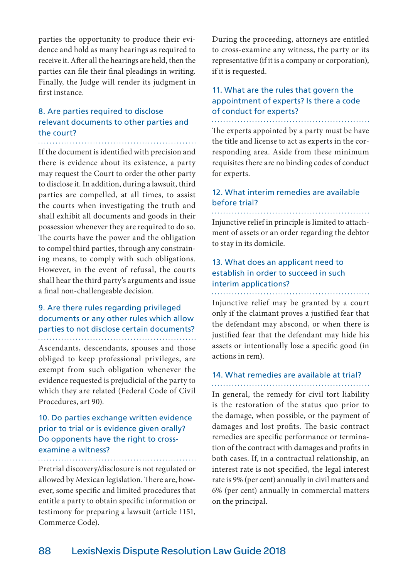parties the opportunity to produce their evidence and hold as many hearings as required to receive it. After all the hearings are held, then the parties can file their final pleadings in writing. Finally, the Judge will render its judgment in first instance.

# 8. Are parties required to disclose relevant documents to other parties and the court?

If the document is identified with precision and there is evidence about its existence, a party may request the Court to order the other party to disclose it. In addition, during a lawsuit, third parties are compelled, at all times, to assist the courts when investigating the truth and shall exhibit all documents and goods in their possession whenever they are required to do so. The courts have the power and the obligation to compel third parties, through any constraining means, to comply with such obligations. However, in the event of refusal, the courts shall hear the third party's arguments and issue a final non-challengeable decision.

#### 9. Are there rules regarding privileged documents or any other rules which allow parties to not disclose certain documents?

Ascendants, descendants, spouses and those obliged to keep professional privileges, are exempt from such obligation whenever the evidence requested is prejudicial of the party to which they are related (Federal Code of Civil Procedures, art 90).

#### 10. Do parties exchange written evidence prior to trial or is evidence given orally? Do opponents have the right to crossexamine a witness?

Pretrial discovery/disclosure is not regulated or allowed by Mexican legislation. There are, however, some specific and limited procedures that entitle a party to obtain specific information or testimony for preparing a lawsuit (article 1151, Commerce Code).

During the proceeding, attorneys are entitled to cross-examine any witness, the party or its representative (if it is a company or corporation), if it is requested.

# 11. What are the rules that govern the appointment of experts? Is there a code of conduct for experts?

The experts appointed by a party must be have the title and license to act as experts in the corresponding area. Aside from these minimum requisites there are no binding codes of conduct for experts.

#### 12. What interim remedies are available before trial?

Injunctive relief in principle is limited to attachment of assets or an order regarding the debtor to stay in its domicile.

# 13. What does an applicant need to establish in order to succeed in such interim applications?

Injunctive relief may be granted by a court only if the claimant proves a justified fear that the defendant may abscond, or when there is justified fear that the defendant may hide his assets or intentionally lose a specific good (in actions in rem).

#### 14. What remedies are available at trial?

In general, the remedy for civil tort liability is the restoration of the status quo prior to the damage, when possible, or the payment of damages and lost profits. The basic contract remedies are specific performance or termination of the contract with damages and profits in both cases. If, in a contractual relationship, an interest rate is not specified, the legal interest rate is 9% (per cent) annually in civil matters and 6% (per cent) annually in commercial matters on the principal.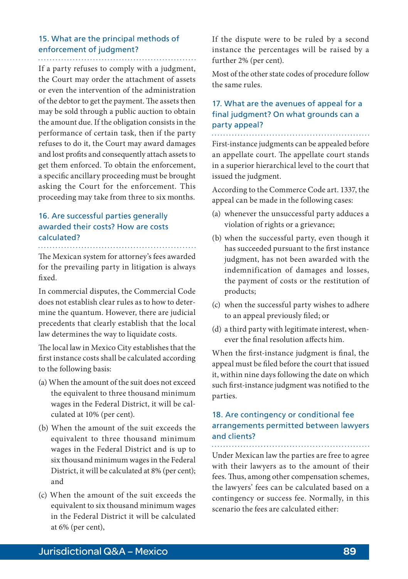# 15. What are the principal methods of enforcement of judgment?

If a party refuses to comply with a judgment, the Court may order the attachment of assets or even the intervention of the administration of the debtor to get the payment. The assets then may be sold through a public auction to obtain the amount due. If the obligation consists in the performance of certain task, then if the party refuses to do it, the Court may award damages and lost profits and consequently attach assets to get them enforced. To obtain the enforcement, a specific ancillary proceeding must be brought asking the Court for the enforcement. This proceeding may take from three to six months.

# 16. Are successful parties generally awarded their costs? How are costs calculated?

The Mexican system for attorney's fees awarded for the prevailing party in litigation is always fixed.

In commercial disputes, the Commercial Code does not establish clear rules as to how to determine the quantum. However, there are judicial precedents that clearly establish that the local law determines the way to liquidate costs.

The local law in Mexico City establishes that the first instance costs shall be calculated according to the following basis:

- (a) When the amount of the suit does not exceed the equivalent to three thousand minimum wages in the Federal District, it will be calculated at 10% (per cent).
- (b) When the amount of the suit exceeds the equivalent to three thousand minimum wages in the Federal District and is up to six thousand minimum wages in the Federal District, it will be calculated at 8% (per cent); and
- (c) When the amount of the suit exceeds the equivalent to six thousand minimum wages in the Federal District it will be calculated at 6% (per cent),

If the dispute were to be ruled by a second instance the percentages will be raised by a further 2% (per cent).

Most of the other state codes of procedure follow the same rules.

# 17. What are the avenues of appeal for a final judgment? On what grounds can a party appeal?

First-instance judgments can be appealed before an appellate court. The appellate court stands in a superior hierarchical level to the court that issued the judgment.

According to the Commerce Code art. 1337, the appeal can be made in the following cases:

- (a) whenever the unsuccessful party adduces a violation of rights or a grievance;
- (b) when the successful party, even though it has succeeded pursuant to the first instance judgment, has not been awarded with the indemnification of damages and losses, the payment of costs or the restitution of products;
- (c) when the successful party wishes to adhere to an appeal previously filed; or
- (d) a third party with legitimate interest, whenever the final resolution affects him.

When the first-instance judgment is final, the appeal must be filed before the court that issued it, within nine days following the date on which such first-instance judgment was notified to the parties.

# 18. Are contingency or conditional fee arrangements permitted between lawyers and clients?

Under Mexican law the parties are free to agree with their lawyers as to the amount of their fees. Thus, among other compensation schemes, the lawyers' fees can be calculated based on a contingency or success fee. Normally, in this scenario the fees are calculated either: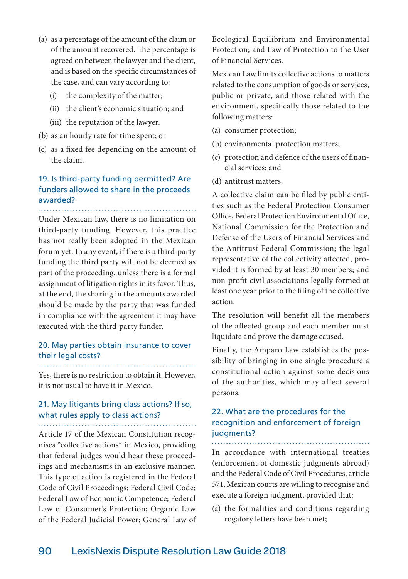- (a) as a percentage of the amount of the claim or of the amount recovered. The percentage is agreed on between the lawyer and the client, and is based on the specific circumstances of the case, and can vary according to:
	- (i) the complexity of the matter;
	- (ii) the client's economic situation; and
	- (iii) the reputation of the lawyer.
- (b) as an hourly rate for time spent; or
- (c) as a fixed fee depending on the amount of the claim.

# 19. Is third-party funding permitted? Are funders allowed to share in the proceeds awarded?

Under Mexican law, there is no limitation on

third-party funding. However, this practice has not really been adopted in the Mexican forum yet. In any event, if there is a third-party funding the third party will not be deemed as part of the proceeding, unless there is a formal assignment of litigation rights in its favor. Thus, at the end, the sharing in the amounts awarded should be made by the party that was funded in compliance with the agreement it may have executed with the third-party funder.

## 20. May parties obtain insurance to cover their legal costs?

Yes, there is no restriction to obtain it. However, it is not usual to have it in Mexico.

# 21. May litigants bring class actions? If so, what rules apply to class actions?

Article 17 of the Mexican Constitution recognises "collective actions" in Mexico, providing that federal judges would hear these proceedings and mechanisms in an exclusive manner. This type of action is registered in the Federal Code of Civil Proceedings; Federal Civil Code; Federal Law of Economic Competence; Federal Law of Consumer's Protection; Organic Law of the Federal Judicial Power; General Law of Ecological Equilibrium and Environmental Protection; and Law of Protection to the User of Financial Services.

Mexican Law limits collective actions to matters related to the consumption of goods or services, public or private, and those related with the environment, specifically those related to the following matters:

- (a) consumer protection;
- (b) environmental protection matters;
- (c) protection and defence of the users of financial services; and
- (d) antitrust matters.

A collective claim can be filed by public entities such as the Federal Protection Consumer Office, Federal Protection Environmental Office, National Commission for the Protection and Defense of the Users of Financial Services and the Antitrust Federal Commission; the legal representative of the collectivity affected, provided it is formed by at least 30 members; and non-profit civil associations legally formed at least one year prior to the filing of the collective action.

The resolution will benefit all the members of the affected group and each member must liquidate and prove the damage caused.

Finally, the Amparo Law establishes the possibility of bringing in one single procedure a constitutional action against some decisions of the authorities, which may affect several persons.

# 22. What are the procedures for the recognition and enforcement of foreign judgments?

In accordance with international treaties (enforcement of domestic judgments abroad) and the Federal Code of Civil Procedures, article 571, Mexican courts are willing to recognise and execute a foreign judgment, provided that:

(a) the formalities and conditions regarding rogatory letters have been met;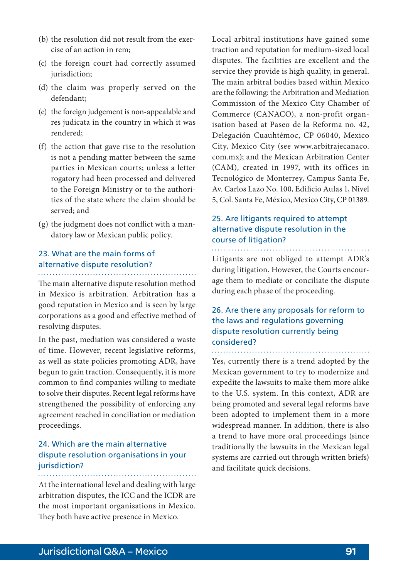- (b) the resolution did not result from the exercise of an action in rem;
- (c) the foreign court had correctly assumed jurisdiction;
- (d) the claim was properly served on the defendant;
- (e) the foreign judgement is non-appealable and res judicata in the country in which it was rendered;
- (f) the action that gave rise to the resolution is not a pending matter between the same parties in Mexican courts; unless a letter rogatory had been processed and delivered to the Foreign Ministry or to the authorities of the state where the claim should be served; and
- (g) the judgment does not conflict with a mandatory law or Mexican public policy.

# 23. What are the main forms of alternative dispute resolution?

The main alternative dispute resolution method in Mexico is arbitration. Arbitration has a good reputation in Mexico and is seen by large corporations as a good and effective method of resolving disputes.

In the past, mediation was considered a waste of time. However, recent legislative reforms, as well as state policies promoting ADR, have begun to gain traction. Consequently, it is more common to find companies willing to mediate to solve their disputes. Recent legal reforms have strengthened the possibility of enforcing any agreement reached in conciliation or mediation proceedings.

# 24. Which are the main alternative dispute resolution organisations in your jurisdiction?

At the international level and dealing with large arbitration disputes, the ICC and the ICDR are the most important organisations in Mexico. They both have active presence in Mexico.

Local arbitral institutions have gained some traction and reputation for medium-sized local disputes. The facilities are excellent and the service they provide is high quality, in general. The main arbitral bodies based within Mexico are the following: the Arbitration and Mediation Commission of the Mexico City Chamber of Commerce (CANACO), a non-profit organisation based at Paseo de la Reforma no. 42, Delegación Cuauhtémoc, CP 06040, Mexico City, Mexico City (see www.arbitrajecanaco. com.mx); and the Mexican Arbitration Center (CAM), created in 1997, with its offices in Tecnológico de Monterrey, Campus Santa Fe, Av. Carlos Lazo No. 100, Edificio Aulas 1, Nivel 5, Col. Santa Fe, México, Mexico City, CP 01389.

# 25. Are litigants required to attempt alternative dispute resolution in the course of litigation?

Litigants are not obliged to attempt ADR's during litigation. However, the Courts encourage them to mediate or conciliate the dispute during each phase of the proceeding.

## 26. Are there any proposals for reform to the laws and regulations governing dispute resolution currently being considered? . . . . . . . . . . . . . . . . . . .

Yes, currently there is a trend adopted by the Mexican government to try to modernize and expedite the lawsuits to make them more alike to the U.S. system. In this context, ADR are being promoted and several legal reforms have been adopted to implement them in a more widespread manner. In addition, there is also a trend to have more oral proceedings (since traditionally the lawsuits in the Mexican legal systems are carried out through written briefs) and facilitate quick decisions.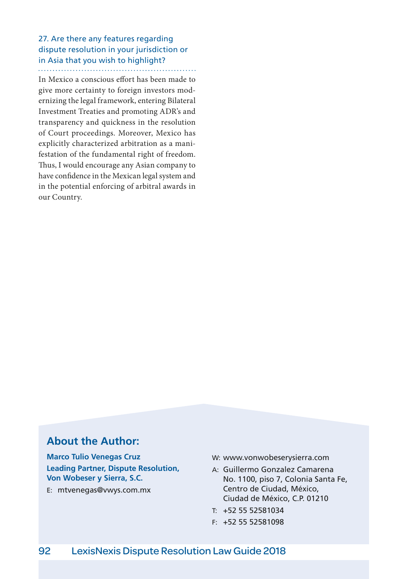# 27. Are there any features regarding dispute resolution in your jurisdiction or in Asia that you wish to highlight?

In Mexico a conscious effort has been made to give more certainty to foreign investors modernizing the legal framework, entering Bilateral Investment Treaties and promoting ADR's and transparency and quickness in the resolution of Court proceedings. Moreover, Mexico has explicitly characterized arbitration as a manifestation of the fundamental right of freedom. Thus, I would encourage any Asian company to have confidence in the Mexican legal system and in the potential enforcing of arbitral awards in our Country.

# **About the Author:**

**Marco Tulio Venegas Cruz Leading Partner, Dispute Resolution, Von Wobeser y Sierra, S.C.**

E: mtvenegas@vwys.com.mx

- W: www.vonwobeserysierra.com
- A: Guillermo Gonzalez Camarena No. 1100, piso 7, Colonia Santa Fe, Centro de Ciudad, México, Ciudad de México, C.P. 01210
- T: +52 55 52581034
- F: +52 55 52581098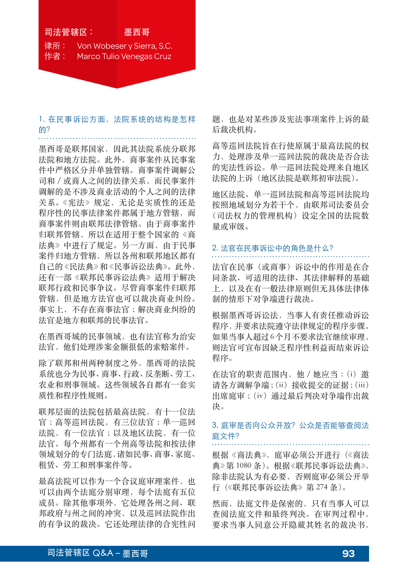# 司法管辖区: 墨西哥 律所 : Von Wobeser y Sierra, S.C. 作者 : Marco Tulio Venegas Cruz

1. 在民事诉讼方面,法院系统的结构是怎样 的?

墨西哥是联邦国家,因此其法院系统分联邦 法院和地方法院。此外,商事案件从民事案 件中严格区分并单独管辖。商事案件调解公 司和 / 或商人之间的法律关系,而民事案件 调解的是不涉及商业活动的个人之间的法律 关系。《宪法》规定,无论是实质性的还是 程序性的民事法律案件都属于地方管辖,而 商事案件则由联邦法律管辖。由于商事案件 归联邦管辖,所以在适用于整个国家的《商 法典》中进行了规定。另一方面,由于民事 案件归地方管辖,所以各州和联邦地区都有 自己的《民法典》和《民事诉讼法典》。此外, 还有一部《联邦民事诉讼法典》适用于解决 联邦行政和民事争议。尽管商事案件归联邦 管辖,但是地方法官也可以裁决商业纠纷。 事实上,不存在商事法官 ;解决商业纠纷的 法官是地方和联邦的民事法官。

在墨西哥城的民事领域,也有法官称为治安 法官,他们处理涉案金额很低的索赔案件。

除了联邦和州两种制度之外,墨西哥的法院 系统也分为民事、商事、行政、反垄断、劳工、 农业和刑事领域。这些领域各自都有一套实 质性和程序性规则。

联邦层面的法院包括最高法院,有十一位法 官 ;高等巡回法院,有三位法官 ;单一巡回 法院,有一位法官 ;以及地区法院,有一位 法官。每个州都有一个州高等法院和按法律 领域划分的专门法庭,诸如民事、商事、家庭、 租赁、劳工和刑事案件等。

最高法院可以作为一个合议庭审理案件, 也 可以由两个法庭分别审理,每个法庭有五位 成员。除其他事项外,它处理各州之间、联 邦政府与州之间的冲突,以及巡回法院作出 的有争议的裁决。它还处理法律的合宪性问 题,也是对某些涉及宪法事项案件上诉的最 后裁决机构。

高等巡回法院旨在行使原属于最高法院的权 力,处理涉及单一巡回法院的裁决是否合法 的宪法性诉讼。单一巡回法院处理来自地区 法院的上诉(地区法院是联邦初审法院)。

地区法院、单一巡回法院和高等巡回法院均 按照地域划分为若干个,由联邦司法委员会 (司法权力的管理机构)设定全国的法院数 量或审级。

# 2. 法官在民事诉讼中的角色是什么?

法官在民事(或商事)诉讼中的作用是在合 同条款、可适用的法律、其法律解释的基础 上,以及在有一般法律原则但无具体法律体 制的情形下对争端进行裁决。

根据墨西哥诉讼法,当事人有责任推动诉讼 程序,并要求法院遵守法律规定的程序步骤。 如果当事人超过 6 个月不要求法官继续审理, 则法官可宣布因缺乏程序性利益而结束诉讼 程序。

在法官的职责范围内,他 / 她应当 :(i)邀 请各方调解争端;(ii)接收提交的证据;(iii) 出席庭审 ;(iv)通过最后判决对争端作出裁 决。

# 3. 庭审是否向公众开放?公众是否能够查阅法 庭文件?

根据《商法典》,庭审必须公开进行(《商法 典》第 1080 条)。根据《联邦民事诉讼法典》, 除非法院认为有必要,否则庭审必须公开举 行(《联邦民事诉讼法典》第 274 条)。

然而,法庭文件是保密的,只有当事人可以 查阅法庭文件和最终判决。在审判过程中, 要求当事人同意公开隐藏其姓名的裁决书,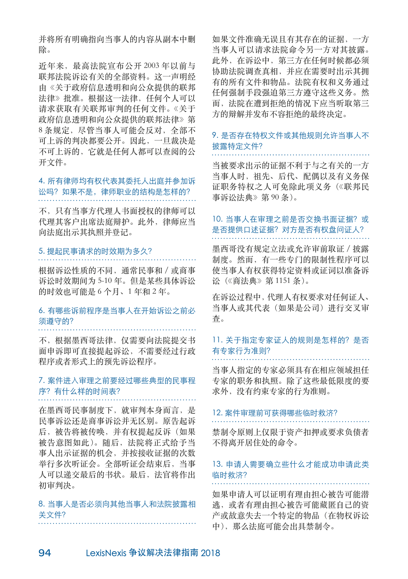并将所有明确指向当事人的内容从副本中删 除。

近年来,最高法院宣布公开 2003 年以前与 联邦法院诉讼有关的全部资料。这一声明经 由《关于政府信息透明和向公众提供的联邦 法律》批准。根据这一法律,任何个人可以 请求获取有关联邦审判的任何文件。《关于 政府信息透明和向公众提供的联邦法律》第 8 条规定, 尽管当事人可能会反对, 全部不 可上诉的判决都要公开。因此,一旦裁决是 不可上诉的,它就是任何人都可以查阅的公 开文件。

4. 所有律师均有权代表其委托人出庭并参加诉 讼吗?如果不是,律师职业的结构是怎样的?

不,只有当事方代理人书面授权的律师可以 代理其客户出席法庭辩护。此外,律师应当 向法庭出示其执照并登记。

## 5. 提起民事请求的时效期为多久?

根据诉讼性质的不同,通常民事和 / 或商事 诉讼时效期间为 5-10 年。但是某些具体诉讼 的时效也可能是 6 个月、1 年和 2 年。

# 6. 有哪些诉前程序是当事人在开始诉讼之前必 须遵守的?

不,根据墨西哥法律,仅需要向法院提交书 面申诉即可直接提起诉讼,不需要经过行政 程序或者形式上的预先诉讼程序。

# 7. 案件进入审理之前要经过哪些典型的民事程 序?有什么样的时间表?

在墨西哥民事制度下,就审判本身而言,是 民事诉讼还是商事诉讼并无区别。原告起诉 后,被告将被传唤,并有权提起反诉(如果 被告意图如此)。随后,法院将正式给予当 事人出示证据的机会,并按接收证据的次数 举行多次听证会。全部听证会结束后,当事 人可以递交最后的书状。最后,法官将作出 初审判决。

# 8. 当事人是否必须向其他当事人和法院披露相 关文件?

如果文件准确无误且有其存在的证据,一方 当事人可以请求法院命令另一方对其披露。 此外,在诉讼中,第三方在任何时候都必须 协助法院调查真相,并应在需要时出示其拥 有的所有文件和物品。法院有权和义务通过 任何强制手段强迫第三方遵守这些义务。然 而,法院在遭到拒绝的情况下应当听取第三 方的辩解并发布不容拒绝的最终决定。

# 9. 是否存在特权文件或其他规则允许当事人不 披露特定文件?

当被要求出示的证据不利于与之有关的一方 当事人时,祖先、后代、配偶以及有义务保 证职务特权之人可免除此项义务(《联邦民 事诉讼法典》第 90 条)。

# 10. 当事人在审理之前是否交换书面证据?或 是否提供口述证据?对方是否有权盘问证人?

墨西哥没有规定立法或允许审前取证 / 披露 制度。然而,有一些专门的限制性程序可以 使当事人有权获得特定资料或证词以准备诉 讼(《商法典》第 1151 条)。

在诉讼过程中,代理人有权要求对任何证人、 当事人或其代表(如果是公司)进行交叉审 查。

# 11. 关于指定专家证人的规则是怎样的?是否 有专家行为准则?

当事人指定的专家必须具有在相应领域担任 专家的职务和执照。除了这些最低限度的要 求外,没有约束专家的行为准则。

#### 12. 案件审理前可获得哪些临时救济?

禁制令原则上仅限于资产扣押或要求负债者 不得离开居住处的命令。

# 13. 申请人需要确立些什么才能成功申请此类 临时救济?

如果申请人可以证明有理由担心被告可能潜 逃,或者有理由担心被告可能藏匿自己的资 产或故意失去一个特定的物品(在物权诉讼 中),那么法庭可能会出具禁制令。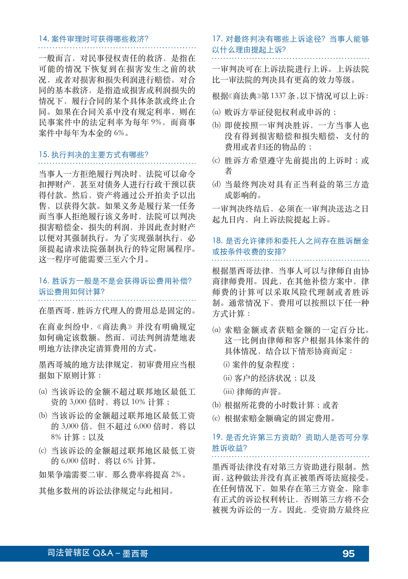# 14. 案件审理时可获得哪些救济?

一般而言,对民事侵权责任的救济,是指在 可能的情况下恢复到在损害发生之前的状 况,或者对损害和损失利润进行赔偿。对合 同的基本救济,是指造成损害或利润损失的 情况下,履行合同的某个具体条款或终止合 同。如果在合同关系中没有规定利率,则在 民事案件中的法定利率为每年 9%,而商事 案件中每年为本金的 6%。

#### 15. 执行判决的主要方式有哪些?

当事人一方拒绝履行判决时,法院可以命令 扣押财产,甚至对债务人进行行政干预以获 得付款。然后,资产将通过公开拍卖予以出 售,以获得欠款。如果义务是履行某一任务 而当事人拒绝履行该义务时,法院可以判决 损害赔偿金、损失的利润,并因此查封财产 以便对其强制执行。为了实现强制执行,必 须提起请求法院强制执行的特定附属程序。 这一程序可能需要三至六个月。

# 16. 胜诉方一般是不是会获得诉讼费用补偿? 诉讼费用如何计算?

在墨西哥,胜诉方代理人的费用总是固定的。

在商业纠纷中,《商法典》并没有明确规定 如何确定该数额。然而,司法判例清楚地表 明地方法律决定清算费用的方式。

墨西哥城的地方法律规定,初审费用应当根 据如下原则计算 :

- (a) 当该诉讼的金额不超过联邦地区最低工 资的 3,000 倍时, 将以 10% 计算;
- (b) 当该诉讼的金额超过联邦地区最低工资 的 3,000 倍, 但不超过 6,000 倍时, 将以 8% 计算 ;以及
- (c) 当该诉讼的金额超过联邦地区最低工资 的 6,000 倍时, 将以 6% 计算。

如果争端需要二审,那么费率将提高 2%。

其他多数州的诉讼法律规定与此相同。

# 17. 对最终判决有哪些上诉途径?当事人能够 以什么理由提起上诉?

一审判决可在上诉法院进行上诉。上诉法院 比一审法院的判决具有更高的效力等级。

根据《商法典》第 1337 条,以下情况可以上诉:

- (a) 败诉方举证侵犯权利或申诉的 ;
- (b) 即使按照一审判决胜诉,一方当事人也 没有得到损害赔偿和损失赔偿、支付的 费用或者归还的物品的 ;
- (c) 胜诉方希望遵守先前提出的上诉时 ;或 者
- (d) 当最终判决对具有正当利益的第三方造 成影响的。

一审判决终结后,必须在一审判决送达之日 起九日内,向上诉法院提起上诉。

# 18. 是否允许律师和委托人之间存在胜诉酬金 或按条件收费的安排?

根据墨西哥法律,当事人可以与律师自由协 商律师费用。因此, 在其他补偿方案中, 律 师费的计算可以采取风险代理制或者胜诉 制。通常情况下,费用可以按照以下任一种 方式计算 :

- (a) 索赔金额或者获赔金额的一定百分比。 这一比例由律师和客户根据具体案件的 具体情况,结合以下情形协商而定:
	- (i) 案件的复杂程度 ;
	- (ii) 客户的经济状况 ;以及

(iii) 律师的声誉。

- (b) 根据所花费的小时数计算 ;或者
- (c) 根据索赔金额确定的固定费用。

# 19. 是否允许第三方资助?资助人是否可分享 胜诉收益?

墨西哥法律没有对第三方资助进行限制。然 而,这种做法并没有真正被墨西哥法庭接受。 在任何情况下,如果存在第三方资金,除非 有正式的诉讼权利转让,否则第三方将不会 被视为诉讼的一方。因此,受资助方最终应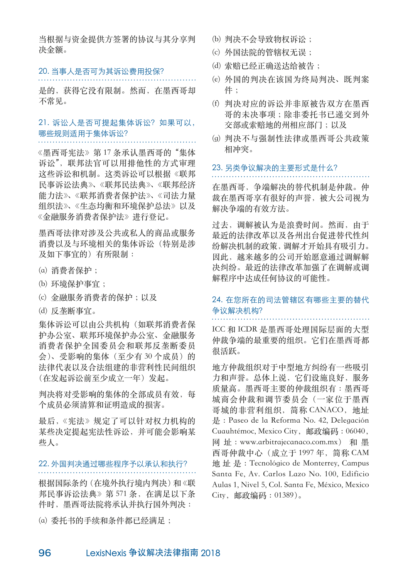当根据与资金提供方签署的协议与其分享判 决金额。

#### 20. 当事人是否可为其诉讼费用投保?

是的,获得它没有限制。然而,在墨西哥却 不常见。

# 21. 诉讼人是否可提起集体诉讼?如果可以, 哪些规则适用于集体诉讼?

《墨西哥宪法》第 17 条承认墨西哥的 "集体 诉讼",联邦法官可以用排他性的方式审理 这些诉讼和机制。这类诉讼可以根据《联邦 民事诉讼法典》、《联邦民法典》、《联邦经济 能力法》、《联邦消费者保护法》、《司法力量 组织法》、《生态均衡和环境保护总法》以及 《金融服务消费者保护法》进行登记。

墨西哥法律对涉及公共或私人的商品或服务 消费以及与环境相关的集体诉讼(特别是涉 及如下事宜的)有所限制 :

- (a) 消费者保护 ;
- (b) 环境保护事宜 ;
- (c) 金融服务消费者的保护 ;以及
- (d) 反垄断事宜。

集体诉讼可以由公共机构(如联邦消费者保 护办公室、联邦环境保护办公室、金融服务 消费者保护全国委员会和联邦反垄断委员 会)、受影响的集体(至少有30个成员)的 法律代表以及合法组建的非营利性民间组织 (在发起诉讼前至少成立一年)发起。

判决将对受影响的集体的全部成员有效,每 个成员必须清算和证明造成的损害。

最后,《宪法》规定了可以针对权力机构的 某些决定提起宪法性诉讼,并可能会影响某 些人。

22. 外国判决通过哪些程序予以承认和执行?

根据国际条约(在境外执行境内判决)和《联 邦民事诉讼法典》第 571 条,在满足以下条 件时,墨西哥法院将承认并执行国外判决 :

(a) 委托书的手续和条件都已经满足 ;

- (b) 判决不会导致物权诉讼 ;
- (c) 外国法院的管辖权无误 ;
- (d) 索赔已经正确送达给被告 ;
- (e) 外国的判决在该国为终局判决、既判案 件 ;
- (f) 判决对应的诉讼并非原被告双方在墨西 哥的未决事项 ;除非委托书已递交到外 交部或索赔地的州相应部门 ;以及
- (g) 判决不与强制性法律或墨西哥公共政策 相冲突。

# 23. 另类争议解决的主要形式是什么?

在墨西哥,争端解决的替代机制是仲裁。仲 裁在墨西哥享有很好的声誉,被大公司视为 解决争端的有效方法。

过去,调解被认为是浪费时间。然而,由于 最近的法律改革以及各州出台促进萃代性纠 纷解决机制的政策,调解才开始具有吸引力。 因此,越来越多的公司开始愿意通过调解解 决纠纷。最近的法律改革加强了在调解或调 解程序中达成任何协议的可能性。

# 24. 在您所在的司法管辖区有哪些主要的替代 争议解决机构?

ICC 和 ICDR 是墨西哥处理国际层面的大型 仲裁争端的最重要的组织。它们在墨西哥都 很活跃。

地方仲裁组织对于中型地方纠纷有一些吸引 力和声誉。总体上说,它们设施良好,服务 质量高。墨西哥主要的仲裁组织有 :墨西哥 城商会仲裁和调节委员会(一家位于墨西 哥城的非营利组织,简称 CANACO,地址 是 :Paseo de la Reforma No. 42, Delegación Cuauhtémoc, Mexico City, 邮政编码: 06040, 网 址 :www.arbitrajecanaco.com.mx) 和 墨 西哥仲裁中心(成立于 1997 年,简称 CAM 地 址 是 :Tecnológico de Monterrey, Campus Santa Fe, Av. Carlos Lazo No. 100, Edificio Aulas 1, Nivel 5, Col. Santa Fe, México, Mexico City,邮政编码 :01389)。